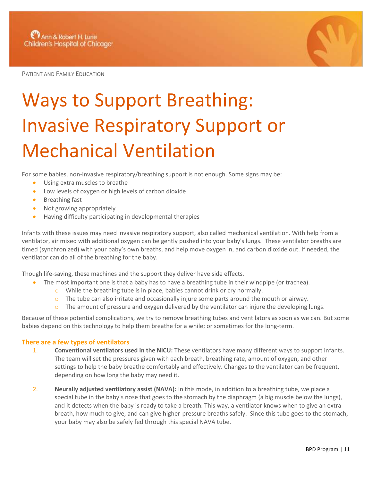PATIENT AND FAMILY EDUCATION



## Ways to Support Breathing: Invasive Respiratory Support or Mechanical Ventilation

For some babies, non-invasive respiratory/breathing support is not enough. Some signs may be:

- Using extra muscles to breathe
- Low levels of oxygen or high levels of carbon dioxide
- Breathing fast
- Not growing appropriately
- Having difficulty participating in developmental therapies

Infants with these issues may need invasive respiratory support, also called mechanical ventilation. With help from a ventilator, air mixed with additional oxygen can be gently pushed into your baby's lungs. These ventilator breaths are timed (synchronized) with your baby's own breaths, and help move oxygen in, and carbon dioxide out. If needed, the ventilator can do all of the breathing for the baby.

Though life-saving, these machines and the support they deliver have side effects.

- The most important one is that a baby has to have a breathing tube in their windpipe (or trachea).
	- o While the breathing tube is in place, babies cannot drink or cry normally.
	- $\circ$  The tube can also irritate and occasionally injure some parts around the mouth or airway.
	- The amount of pressure and oxygen delivered by the ventilator can injure the developing lungs.

Because of these potential complications, we try to remove breathing tubes and ventilators as soon as we can. But some babies depend on this technology to help them breathe for a while; or sometimes for the long-term.

## **There are a few types of ventilators**

- 1. **Conventional ventilators used in the NICU:** These ventilators have many different ways to support infants. The team will set the pressures given with each breath, breathing rate, amount of oxygen, and other settings to help the baby breathe comfortably and effectively. Changes to the ventilator can be frequent, depending on how long the baby may need it.
- 2. **Neurally adjusted ventilatory assist (NAVA):** In this mode, in addition to a breathing tube, we place a special tube in the baby's nose that goes to the stomach by the diaphragm (a big muscle below the lungs), and it detects when the baby is ready to take a breath. This way, a ventilator knows when to give an extra breath, how much to give, and can give higher-pressure breaths safely. Since this tube goes to the stomach, your baby may also be safely fed through this special NAVA tube.